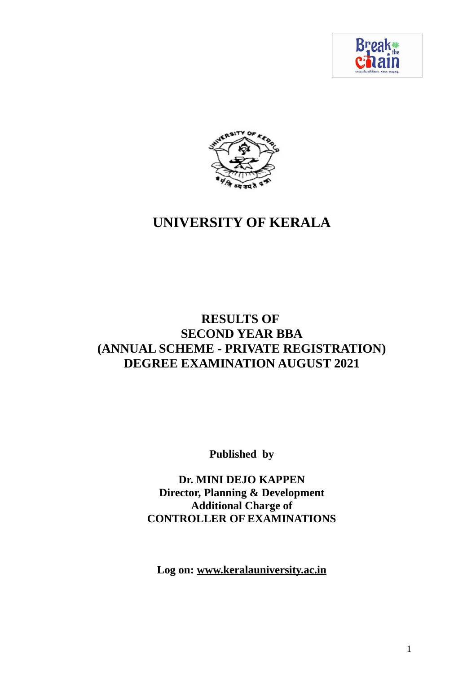



# **RESULTS OF SECOND YEAR BBA (ANNUAL SCHEME - PRIVATE REGISTRATION) DEGREE EXAMINATION AUGUST 2021**

**Published by**

**Dr. MINI DEJO KAPPEN Director, Planning & Development Additional Charge of CONTROLLER OF EXAMINATIONS**

**Log on: www.keralauniversity.ac.in**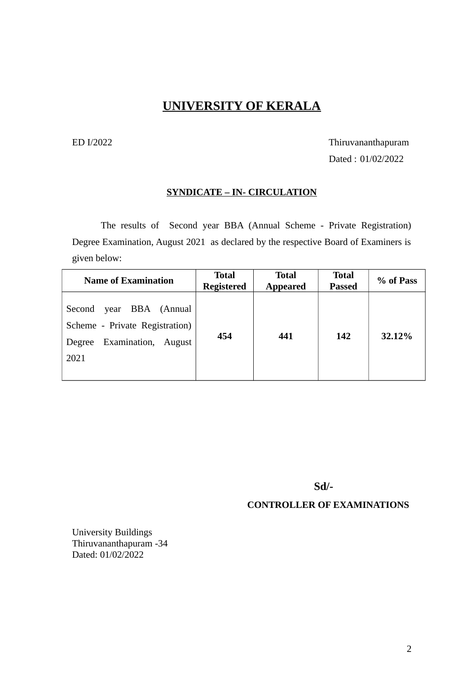# ED I/2022 Thiruvananthapuram

Dated : 01/02/2022

#### **SYNDICATE – IN- CIRCULATION**

The results of Second year BBA (Annual Scheme - Private Registration) Degree Examination, August 2021 as declared by the respective Board of Examiners is given below:

| <b>Name of Examination</b>                                                                            | <b>Total</b><br><b>Registered</b> | <b>Total</b><br><b>Appeared</b> | <b>Total</b><br><b>Passed</b> | % of Pass |
|-------------------------------------------------------------------------------------------------------|-----------------------------------|---------------------------------|-------------------------------|-----------|
| year BBA (Annual<br>Second<br>Scheme - Private Registration)<br>Examination, August<br>Degree<br>2021 | 454                               | 441                             | 142                           | 32.12%    |

**Sd/-**

#### **CONTROLLER OF EXAMINATIONS**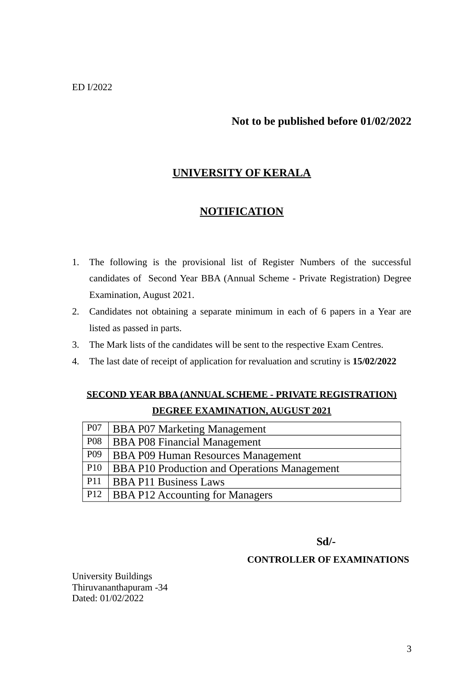## **Not to be published before 01/02/2022**

# **UNIVERSITY OF KERALA**

#### **NOTIFICATION**

- 1. The following is the provisional list of Register Numbers of the successful candidates of Second Year BBA (Annual Scheme - Private Registration) Degree Examination, August 2021.
- 2. Candidates not obtaining a separate minimum in each of 6 papers in a Year are listed as passed in parts.
- 3. The Mark lists of the candidates will be sent to the respective Exam Centres.
- 4. The last date of receipt of application for revaluation and scrutiny is **15/02/2022**

# **SECOND YEAR BBA (ANNUAL SCHEME - PRIVATE REGISTRATION) DEGREE EXAMINATION, AUGUST 2021**

| P07             | <b>BBA P07 Marketing Management</b>                 |
|-----------------|-----------------------------------------------------|
| P08             | <b>BBA P08 Financial Management</b>                 |
| P09             | BBA P09 Human Resources Management                  |
| P <sub>10</sub> | <b>BBA P10 Production and Operations Management</b> |
| P <sub>11</sub> | <b>BBA P11 Business Laws</b>                        |
| P12             | <b>BBA P12 Accounting for Managers</b>              |

#### **Sd/-**

#### **CONTROLLER OF EXAMINATIONS**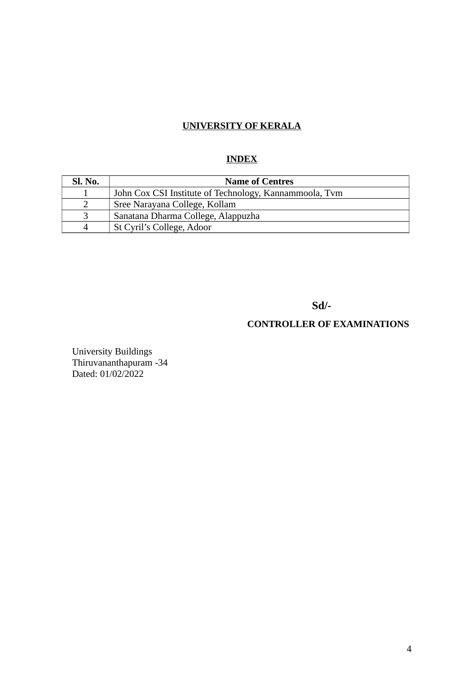## **INDEX**

| Sl. No.  | <b>Name of Centres</b>                                 |
|----------|--------------------------------------------------------|
|          | John Cox CSI Institute of Technology, Kannammoola, Tym |
|          | Sree Narayana College, Kollam                          |
|          | Sanatana Dharma College, Alappuzha                     |
| $\Delta$ | St Cyril's College, Adoor                              |

**Sd/-**

# **CONTROLLER OF EXAMINATIONS**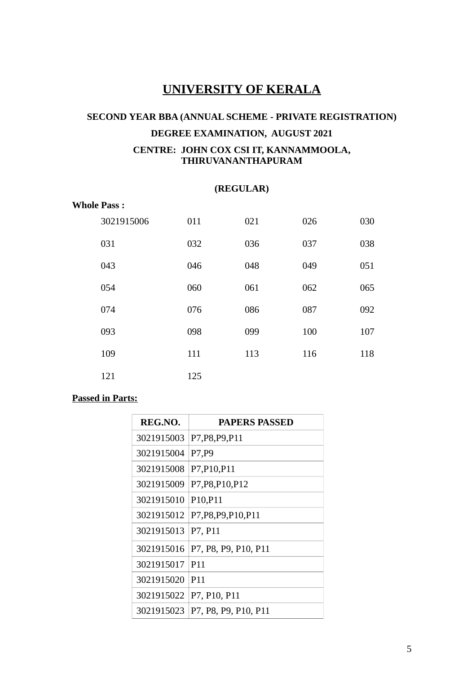# **SECOND YEAR BBA (ANNUAL SCHEME - PRIVATE REGISTRATION) DEGREE EXAMINATION, AUGUST 2021 CENTRE: JOHN COX CSI IT, KANNAMMOOLA, THIRUVANANTHAPURAM**

#### **(REGULAR)**

#### **Whole Pass :**

| 3021915006 | 011 | 021 | 026 | 030 |
|------------|-----|-----|-----|-----|
| 031        | 032 | 036 | 037 | 038 |
| 043        | 046 | 048 | 049 | 051 |
| 054        | 060 | 061 | 062 | 065 |
| 074        | 076 | 086 | 087 | 092 |
| 093        | 098 | 099 | 100 | 107 |
| 109        | 111 | 113 | 116 | 118 |
| 121        | 125 |     |     |     |

| REG.NO.    | <b>PAPERS PASSED</b>              |
|------------|-----------------------------------|
| 3021915003 | P7, P8, P9, P11                   |
| 3021915004 | P7, P9                            |
| 3021915008 | P7, P10, P11                      |
| 3021915009 | P7, P8, P10, P12                  |
| 3021915010 | P <sub>10</sub> , P <sub>11</sub> |
| 3021915012 | P7, P8, P9, P10, P11              |
| 3021915013 | P7, P11                           |
| 3021915016 | P7, P8, P9, P10, P11              |
| 3021915017 | P <sub>11</sub>                   |
| 3021915020 | P <sub>11</sub>                   |
| 3021915022 | P7, P10, P11                      |
| 3021915023 | P7, P8, P9, P10, P11              |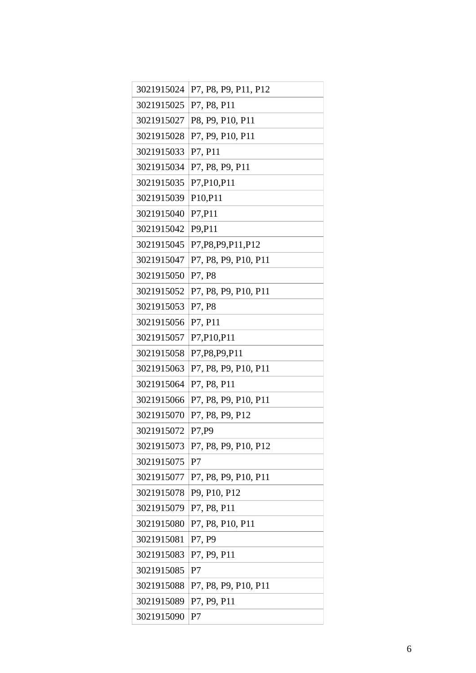| 3021915024 | P7, P8, P9, P11, P12 |
|------------|----------------------|
| 3021915025 | P7, P8, P11          |
| 3021915027 | P8, P9, P10, P11     |
| 3021915028 | P7, P9, P10, P11     |
| 3021915033 | P7, P11              |
| 3021915034 | P7, P8, P9, P11      |
| 3021915035 | P7, P10, P11         |
| 3021915039 | P10, P11             |
| 3021915040 | P7, P11              |
| 3021915042 | P9, P11              |
| 3021915045 | P7, P8, P9, P11, P12 |
| 3021915047 | P7, P8, P9, P10, P11 |
| 3021915050 | P7, P8               |
| 3021915052 | P7, P8, P9, P10, P11 |
| 3021915053 | P7, P8               |
| 3021915056 | P7, P11              |
| 3021915057 | P7, P10, P11         |
| 3021915058 | P7, P8, P9, P11      |
| 3021915063 | P7, P8, P9, P10, P11 |
| 3021915064 | P7, P8, P11          |
| 3021915066 | P7, P8, P9, P10, P11 |
| 3021915070 | P7, P8, P9, P12      |
| 3021915072 | P7, P9               |
| 3021915073 | P7, P8, P9, P10, P12 |
| 3021915075 | P <sub>7</sub>       |
| 3021915077 | P7, P8, P9, P10, P11 |
| 3021915078 | P9, P10, P12         |
| 3021915079 | P7, P8, P11          |
| 3021915080 | P7, P8, P10, P11     |
| 3021915081 | P7, P9               |
| 3021915083 | P7, P9, P11          |
| 3021915085 | P <sub>7</sub>       |
| 3021915088 | P7, P8, P9, P10, P11 |
| 3021915089 | P7, P9, P11          |
| 3021915090 | P <sub>7</sub>       |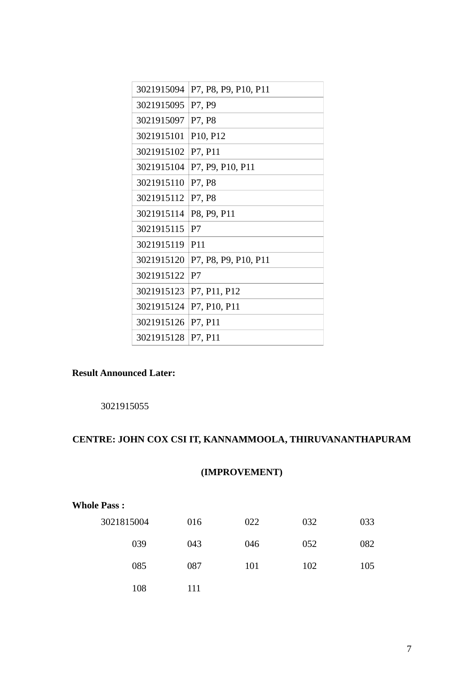| 3021915094 | P7, P8, P9, P10, P11              |
|------------|-----------------------------------|
| 3021915095 | P7, P9                            |
| 3021915097 | P7, P8                            |
| 3021915101 | P <sub>10</sub> , P <sub>12</sub> |
| 3021915102 | P7, P11                           |
| 3021915104 | P7, P9, P10, P11                  |
| 3021915110 | P7, P8                            |
| 3021915112 | P7, P8                            |
| 3021915114 | P8, P9, P11                       |
| 3021915115 | P7                                |
| 3021915119 | P <sub>11</sub>                   |
| 3021915120 | P7, P8, P9, P10, P11              |
| 3021915122 | P7                                |
| 3021915123 | P7, P11, P12                      |
| 3021915124 | P7, P10, P11                      |
| 3021915126 | P7, P11                           |
| 3021915128 | P7, P11                           |

# **Result Announced Later:**

# **CENTRE: JOHN COX CSI IT, KANNAMMOOLA, THIRUVANANTHAPURAM**

# **(IMPROVEMENT)**

| <b>Whole Pass:</b> |     |     |     |     |
|--------------------|-----|-----|-----|-----|
| 3021815004         | 016 | 022 | 032 | 033 |
| 039                | 043 | 046 | 052 | 082 |
| 085                | 087 | 101 | 102 | 105 |
| 108                | 111 |     |     |     |
|                    |     |     |     |     |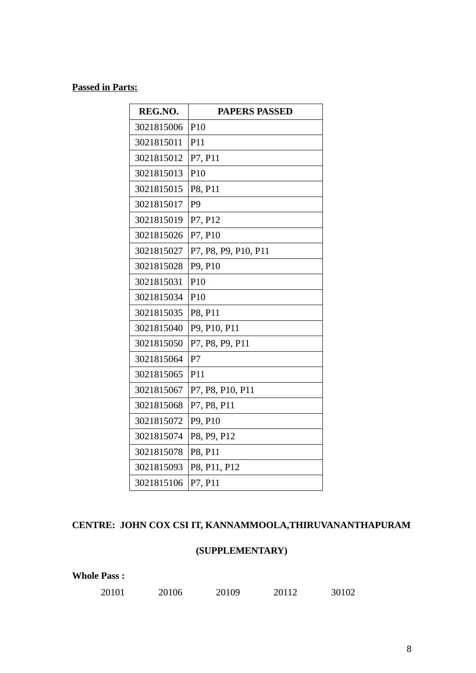#### **Passed in Parts:**

**Whole Pass :**

| REG.NO.    | <b>PAPERS PASSED</b> |
|------------|----------------------|
| 3021815006 | P <sub>10</sub>      |
| 3021815011 | P <sub>11</sub>      |
| 3021815012 | P7, P11              |
| 3021815013 | P <sub>10</sub>      |
| 3021815015 | P8, P11              |
| 3021815017 | P <sub>9</sub>       |
| 3021815019 | P7, P12              |
| 3021815026 | P7, P10              |
| 3021815027 | P7, P8, P9, P10, P11 |
| 3021815028 | P9, P10              |
| 3021815031 | P <sub>10</sub>      |
| 3021815034 | P <sub>10</sub>      |
| 3021815035 | P8, P11              |
| 3021815040 | P9, P10, P11         |
| 3021815050 | P7, P8, P9, P11      |
| 3021815064 | P <sub>7</sub>       |
| 3021815065 | P <sub>11</sub>      |
| 3021815067 | P7, P8, P10, P11     |
| 3021815068 | P7, P8, P11          |
| 3021815072 | P9, P10              |
| 3021815074 | P8, P9, P12          |
| 3021815078 | P8, P11              |
| 3021815093 | P8, P11, P12         |
| 3021815106 | P7, P11              |

# **CENTRE: JOHN COX CSI IT, KANNAMMOOLA,THIRUVANANTHAPURAM**

# **(SUPPLEMENTARY)**

| 20101 | 20106 | 20109 | 20112 | 30102 |
|-------|-------|-------|-------|-------|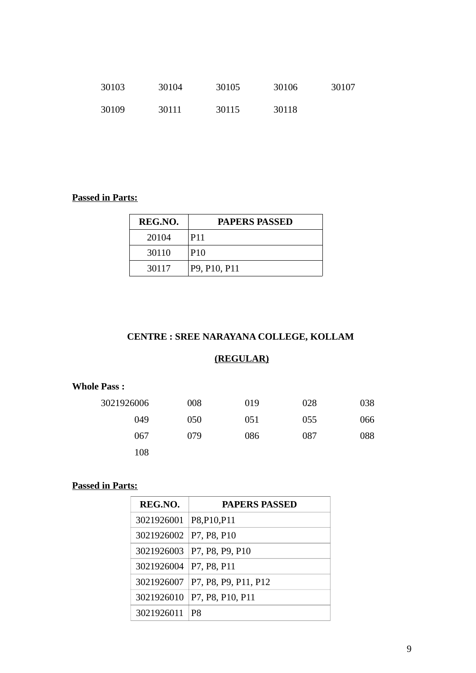| 30103 | 30104 | 30105 | 30106 | 30107 |
|-------|-------|-------|-------|-------|
| 30109 | 30111 | 30115 | 30118 |       |

#### **Passed in Parts:**

| REG.NO. | <b>PAPERS PASSED</b> |
|---------|----------------------|
| 20104   | P <sub>11</sub>      |
| 30110   | P <sub>10</sub>      |
| 30117   | P9, P10, P11         |

#### **CENTRE : SREE NARAYANA COLLEGE, KOLLAM**

#### **(REGULAR)**

#### **Whole Pass :**

| 3021926006 | 008 | 019 | 028 | 038 |
|------------|-----|-----|-----|-----|
| 049        | 050 | 051 | 055 | 066 |
| 067        | 079 | 086 | 087 | 088 |
| 108        |     |     |     |     |

| REG.NO.                  | <b>PAPERS PASSED</b>              |
|--------------------------|-----------------------------------|
| 3021926001 P8, P10, P11  |                                   |
| 3021926002   P7, P8, P10 |                                   |
|                          | 3021926003 P7, P8, P9, P10        |
| 3021926004   P7, P8, P11 |                                   |
|                          | 3021926007   P7, P8, P9, P11, P12 |
| 3021926010               | P7, P8, P10, P11                  |
| 3021926011               | P8                                |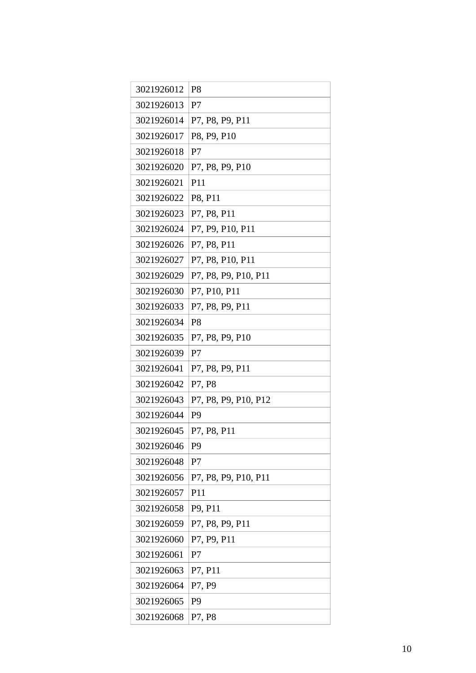| 3021926012 | P <sub>8</sub>       |
|------------|----------------------|
| 3021926013 | P7                   |
| 3021926014 | P7, P8, P9, P11      |
| 3021926017 | P8, P9, P10          |
| 3021926018 | P7                   |
| 3021926020 | P7, P8, P9, P10      |
| 3021926021 | P <sub>11</sub>      |
| 3021926022 | P8, P11              |
| 3021926023 | P7, P8, P11          |
| 3021926024 | P7, P9, P10, P11     |
| 3021926026 | P7, P8, P11          |
| 3021926027 | P7, P8, P10, P11     |
| 3021926029 | P7, P8, P9, P10, P11 |
| 3021926030 | P7, P10, P11         |
| 3021926033 | P7, P8, P9, P11      |
| 3021926034 | P <sub>8</sub>       |
| 3021926035 | P7, P8, P9, P10      |
| 3021926039 | P7                   |
| 3021926041 | P7, P8, P9, P11      |
| 3021926042 | P7, P8               |
| 3021926043 | P7, P8, P9, P10, P12 |
| 3021926044 | P <sub>9</sub>       |
| 3021926045 | P7, P8, P11          |
| 3021926046 | P9                   |
| 3021926048 | P <sub>7</sub>       |
| 3021926056 | P7, P8, P9, P10, P11 |
| 3021926057 | P <sub>11</sub>      |
| 3021926058 | P9, P11              |
| 3021926059 | P7, P8, P9, P11      |
| 3021926060 | P7, P9, P11          |
| 3021926061 | P <sub>7</sub>       |
| 3021926063 | P7, P11              |
| 3021926064 | P7, P9               |
| 3021926065 | P <sub>9</sub>       |
| 3021926068 | P7, P8               |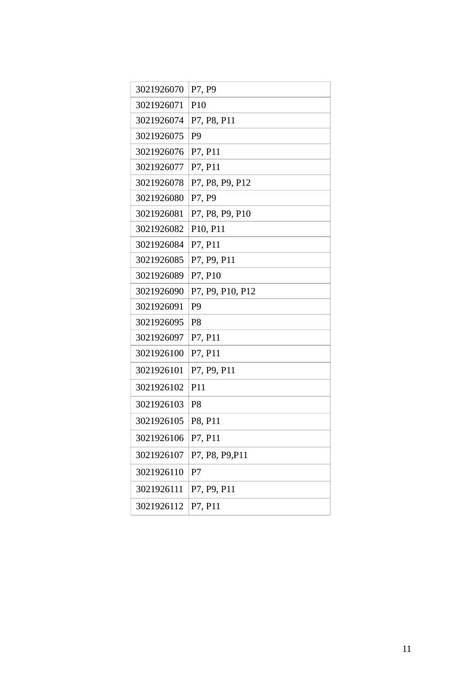| 3021926070 | P7, P9           |
|------------|------------------|
| 3021926071 | P <sub>10</sub>  |
| 3021926074 | P7, P8, P11      |
| 3021926075 | P <sub>9</sub>   |
| 3021926076 | P7, P11          |
| 3021926077 | P7, P11          |
| 3021926078 | P7, P8, P9, P12  |
| 3021926080 | P7, P9           |
| 3021926081 | P7, P8, P9, P10  |
| 3021926082 | P10, P11         |
| 3021926084 | P7, P11          |
| 3021926085 | P7, P9, P11      |
| 3021926089 | P7, P10          |
| 3021926090 | P7, P9, P10, P12 |
| 3021926091 | P <sub>9</sub>   |
| 3021926095 | P <sub>8</sub>   |
| 3021926097 | P7, P11          |
| 3021926100 | P7, P11          |
| 3021926101 | P7, P9, P11      |
| 3021926102 | P <sub>11</sub>  |
| 3021926103 | P <sub>8</sub>   |
| 3021926105 | P8, P11          |
| 3021926106 | P7, P11          |
| 3021926107 | P7, P8, P9, P11  |
| 3021926110 | P <sub>7</sub>   |
| 3021926111 | P7, P9, P11      |
| 3021926112 | P7, P11          |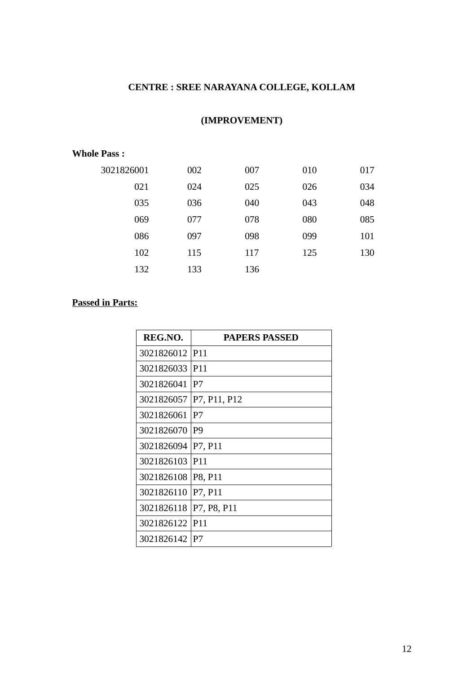# **CENTRE : SREE NARAYANA COLLEGE, KOLLAM**

# **(IMPROVEMENT)**

#### **Whole Pass :**

| 3021826001 | 002 | 007 | 010 | 017 |
|------------|-----|-----|-----|-----|
| 021        | 024 | 025 | 026 | 034 |
| 035        | 036 | 040 | 043 | 048 |
| 069        | 077 | 078 | 080 | 085 |
| 086        | 097 | 098 | 099 | 101 |
| 102        | 115 | 117 | 125 | 130 |
| 132        | 133 | 136 |     |     |

| REG.NO.    | <b>PAPERS PASSED</b> |
|------------|----------------------|
| 3021826012 | P <sub>11</sub>      |
| 3021826033 | P <sub>11</sub>      |
| 3021826041 | P7                   |
| 3021826057 | P7, P11, P12         |
| 3021826061 | P7                   |
| 3021826070 | P <sub>9</sub>       |
| 3021826094 | P7, P11              |
| 3021826103 | P <sub>11</sub>      |
| 3021826108 | P8, P11              |
| 3021826110 | P7, P11              |
| 3021826118 | P7, P8, P11          |
| 3021826122 | P <sub>11</sub>      |
| 3021826142 | P7                   |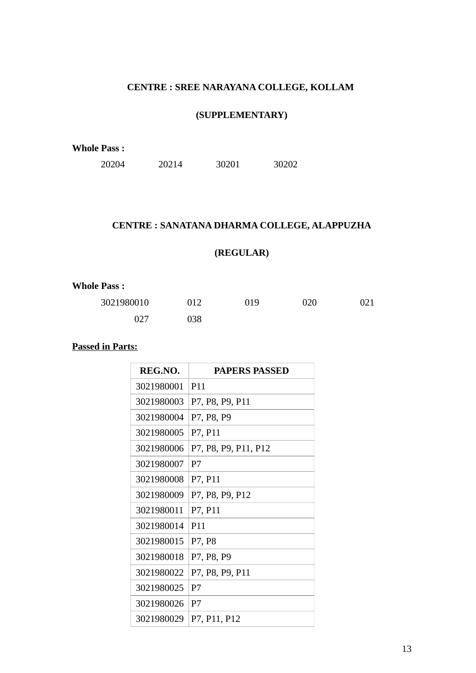#### **CENTRE : SREE NARAYANA COLLEGE, KOLLAM**

#### **(SUPPLEMENTARY)**

**Whole Pass :**

20214 30201 30202

#### **CENTRE : SANATANA DHARMA COLLEGE, ALAPPUZHA**

# **(REGULAR)**

#### **Whole Pass :**

| 3021980010 | 012 | 019 | 020 | 021 |
|------------|-----|-----|-----|-----|
| 027        | 038 |     |     |     |

| REG.NO.    | <b>PAPERS PASSED</b> |
|------------|----------------------|
| 3021980001 | P <sub>11</sub>      |
| 3021980003 | P7, P8, P9, P11      |
| 3021980004 | P7, P8, P9           |
| 3021980005 | P7, P11              |
| 3021980006 | P7, P8, P9, P11, P12 |
| 3021980007 | P7                   |
| 3021980008 | P7, P11              |
| 3021980009 | P7, P8, P9, P12      |
| 3021980011 | P7, P11              |
| 3021980014 | P <sub>11</sub>      |
| 3021980015 | P7, P8               |
| 3021980018 | P7, P8, P9           |
| 3021980022 | P7, P8, P9, P11      |
| 3021980025 | P7                   |
| 3021980026 | P7                   |
| 3021980029 | P7, P11, P12         |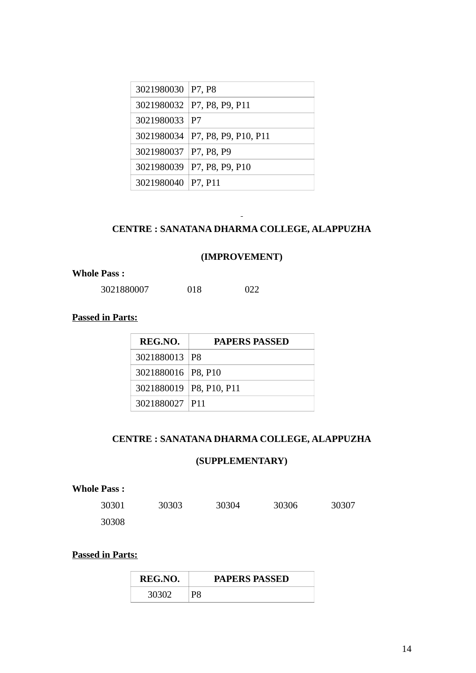| 3021980030 P7, P8       |                                   |
|-------------------------|-----------------------------------|
|                         | 3021980032 P7, P8, P9, P11        |
| 3021980033 P7           |                                   |
|                         | 3021980034   P7, P8, P9, P10, P11 |
| 3021980037   P7, P8, P9 |                                   |
|                         | 3021980039 P7, P8, P9, P10        |
| 3021980040   P7, P11    |                                   |

#### **CENTRE : SANATANA DHARMA COLLEGE, ALAPPUZHA**

#### **(IMPROVEMENT)**

#### **Whole Pass :**

018 022

#### **Passed in Parts:**

| REG.NO.                   | <b>PAPERS PASSED</b> |  |
|---------------------------|----------------------|--|
| 3021880013 P8             |                      |  |
| 3021880016   P8, P10      |                      |  |
| 3021880019   P8, P10, P11 |                      |  |
| 3021880027 P11            |                      |  |

#### **CENTRE : SANATANA DHARMA COLLEGE, ALAPPUZHA**

#### **(SUPPLEMENTARY)**

| <b>Whole Pass :</b> |       |       |       |       |
|---------------------|-------|-------|-------|-------|
| 30301               | 30303 | 30304 | 30306 | 30307 |
| 30308               |       |       |       |       |

| REG.NO. |    | <b>PAPERS PASSED</b> |
|---------|----|----------------------|
| 30302   | P8 |                      |